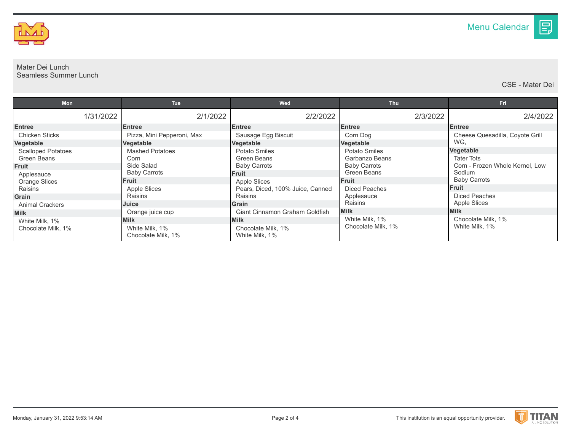

## Mater Dei Lunch Seamless Summer Lunch

CSE - Mater Dei

目

| <b>Mon</b>                           |              | <b>Tue</b>                           | Wed                                   | <b>Thu</b>                           | Fri                             |
|--------------------------------------|--------------|--------------------------------------|---------------------------------------|--------------------------------------|---------------------------------|
|                                      | 1/31/2022    | 2/1/2022                             | 2/2/2022                              | 2/3/2022                             | 2/4/2022                        |
| <b>Entree</b>                        |              | <b>Entree</b>                        | <b>Entree</b>                         | <b>Entree</b>                        | <b>Entree</b>                   |
| <b>Chicken Sticks</b>                |              | Pizza, Mini Pepperoni, Max           | Sausage Egg Biscuit                   | Corn Dog                             | Cheese Quesadilla, Coyote Grill |
| Vegetable                            |              | Vegetable                            | Vegetable                             | Vegetable                            | WG.                             |
| <b>Scalloped Potatoes</b>            |              | <b>Mashed Potatoes</b>               | Potato Smiles                         | Potato Smiles                        | Vegetable                       |
| Green Beans                          |              | Corn                                 | Green Beans                           | Garbanzo Beans                       | <b>Tater Tots</b>               |
| Fruit                                |              | Side Salad                           | <b>Baby Carrots</b>                   | <b>Baby Carrots</b>                  | Corn - Frozen Whole Kernel, Low |
| Applesauce<br>Orange Slices          |              | <b>Baby Carrots</b>                  | <b>Fruit</b>                          | Green Beans                          | Sodium                          |
|                                      | <b>Fruit</b> |                                      | <b>Apple Slices</b>                   | <b>Fruit</b>                         | <b>Baby Carrots</b>             |
| Raisins                              |              | Apple Slices                         | Pears, Diced, 100% Juice, Canned      | <b>Diced Peaches</b>                 | Fruit                           |
| Grain                                |              | Raisins                              | <b>Raisins</b>                        | Applesauce                           | Diced Peaches                   |
| <b>Animal Crackers</b>               |              | Juice                                | <b>Grain</b>                          | Raisins                              | <b>Apple Slices</b>             |
| <b>Milk</b>                          |              | Orange juice cup                     | <b>Giant Cinnamon Graham Goldfish</b> | <b>Milk</b>                          | <b>Milk</b>                     |
| White Milk, 1%<br>Chocolate Milk. 1% | <b>Milk</b>  |                                      | <b>Milk</b>                           | White Milk, 1%<br>Chocolate Milk, 1% | Chocolate Milk, 1%              |
|                                      |              | White Milk, 1%<br>Chocolate Milk, 1% | Chocolate Milk, 1%<br>White Milk, 1%  |                                      | White Milk, 1%                  |

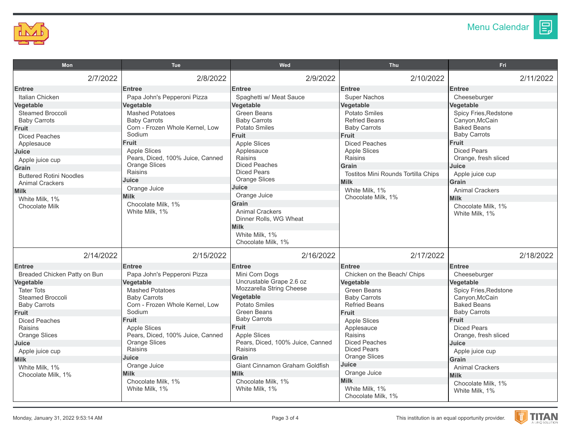

图

| Mon                                                                                                                                                                                                                                                                                                              | <b>Tue</b>                                                                                                                                                                                                                                                                                                                                     | Wed                                                                                                                                                                                                                                                                                                                                             | <b>Thu</b>                                                                                                                                                                                                                                                                                         | <b>Fri</b>                                                                                                                                                                                                                                                                                                             |  |
|------------------------------------------------------------------------------------------------------------------------------------------------------------------------------------------------------------------------------------------------------------------------------------------------------------------|------------------------------------------------------------------------------------------------------------------------------------------------------------------------------------------------------------------------------------------------------------------------------------------------------------------------------------------------|-------------------------------------------------------------------------------------------------------------------------------------------------------------------------------------------------------------------------------------------------------------------------------------------------------------------------------------------------|----------------------------------------------------------------------------------------------------------------------------------------------------------------------------------------------------------------------------------------------------------------------------------------------------|------------------------------------------------------------------------------------------------------------------------------------------------------------------------------------------------------------------------------------------------------------------------------------------------------------------------|--|
| 2/7/2022                                                                                                                                                                                                                                                                                                         | 2/8/2022                                                                                                                                                                                                                                                                                                                                       | 2/9/2022                                                                                                                                                                                                                                                                                                                                        | 2/10/2022                                                                                                                                                                                                                                                                                          | 2/11/2022                                                                                                                                                                                                                                                                                                              |  |
| <b>Entree</b><br>Italian Chicken<br>Vegetable<br><b>Steamed Broccoli</b><br><b>Baby Carrots</b><br><b>Fruit</b><br><b>Diced Peaches</b><br>Applesauce<br>Juice<br>Apple juice cup<br>Grain<br><b>Buttered Rotini Noodles</b><br><b>Animal Crackers</b><br><b>Milk</b><br>White Milk, 1%<br><b>Chocolate Milk</b> | <b>Entree</b><br>Papa John's Pepperoni Pizza<br>Vegetable<br><b>Mashed Potatoes</b><br><b>Baby Carrots</b><br>Corn - Frozen Whole Kernel, Low<br>Sodium<br>Fruit<br><b>Apple Slices</b><br>Pears, Diced, 100% Juice, Canned<br><b>Orange Slices</b><br>Raisins<br>Juice<br>Orange Juice<br><b>Milk</b><br>Chocolate Milk. 1%<br>White Milk, 1% | <b>Entree</b><br>Spaghetti w/ Meat Sauce<br>Vegetable<br><b>Green Beans</b><br><b>Baby Carrots</b><br>Potato Smiles<br><b>Fruit</b><br><b>Apple Slices</b><br>Applesauce<br>Raisins<br><b>Diced Peaches</b><br><b>Diced Pears</b><br><b>Orange Slices</b><br>Juice<br>Orange Juice<br>Grain<br><b>Animal Crackers</b><br>Dinner Rolls, WG Wheat | <b>Entree</b><br><b>Super Nachos</b><br>Vegetable<br><b>Potato Smiles</b><br><b>Refried Beans</b><br><b>Baby Carrots</b><br>Fruit<br><b>Diced Peaches</b><br><b>Apple Slices</b><br>Raisins<br>Grain<br>Tostitos Mini Rounds Tortilla Chips<br><b>Milk</b><br>White Milk, 1%<br>Chocolate Milk, 1% | <b>Entree</b><br>Cheeseburger<br>Vegetable<br>Spicy Fries, Redstone<br>Canyon, McCain<br><b>Baked Beans</b><br><b>Baby Carrots</b><br><b>Fruit</b><br><b>Diced Pears</b><br>Orange, fresh sliced<br>Juice<br>Apple juice cup<br>Grain<br><b>Animal Crackers</b><br><b>Milk</b><br>Chocolate Milk, 1%<br>White Milk, 1% |  |
| 2/14/2022                                                                                                                                                                                                                                                                                                        | 2/15/2022                                                                                                                                                                                                                                                                                                                                      | <b>Milk</b><br>White Milk, 1%<br>Chocolate Milk, 1%<br>2/16/2022                                                                                                                                                                                                                                                                                | 2/17/2022                                                                                                                                                                                                                                                                                          | 2/18/2022                                                                                                                                                                                                                                                                                                              |  |
| <b>Entree</b>                                                                                                                                                                                                                                                                                                    | <b>Entree</b>                                                                                                                                                                                                                                                                                                                                  | <b>Entree</b>                                                                                                                                                                                                                                                                                                                                   | <b>Entree</b>                                                                                                                                                                                                                                                                                      | <b>Entree</b>                                                                                                                                                                                                                                                                                                          |  |
| Breaded Chicken Patty on Bun                                                                                                                                                                                                                                                                                     | Papa John's Pepperoni Pizza                                                                                                                                                                                                                                                                                                                    | Mini Corn Dogs                                                                                                                                                                                                                                                                                                                                  | Chicken on the Beach/ Chips                                                                                                                                                                                                                                                                        | Cheeseburger                                                                                                                                                                                                                                                                                                           |  |
| Vegetable                                                                                                                                                                                                                                                                                                        | Vegetable                                                                                                                                                                                                                                                                                                                                      | Uncrustable Grape 2.6 oz                                                                                                                                                                                                                                                                                                                        | Vegetable                                                                                                                                                                                                                                                                                          | Vegetable                                                                                                                                                                                                                                                                                                              |  |
| <b>Tater Tots</b><br><b>Steamed Broccoli</b><br><b>Baby Carrots</b><br>Fruit                                                                                                                                                                                                                                     | <b>Mashed Potatoes</b><br><b>Baby Carrots</b><br>Corn - Frozen Whole Kernel, Low<br>Sodium<br>Fruit                                                                                                                                                                                                                                            | Mozzarella String Cheese<br>Vegetable<br>Potato Smiles<br><b>Green Beans</b><br><b>Baby Carrots</b>                                                                                                                                                                                                                                             | <b>Green Beans</b><br><b>Baby Carrots</b><br><b>Refried Beans</b><br>Fruit                                                                                                                                                                                                                         | <b>Spicy Fries, Redstone</b><br>Canyon, McCain<br><b>Baked Beans</b><br><b>Baby Carrots</b><br><b>Fruit</b>                                                                                                                                                                                                            |  |
| <b>Diced Peaches</b><br>Raisins<br><b>Orange Slices</b><br>Juice                                                                                                                                                                                                                                                 | <b>Apple Slices</b><br>Pears, Diced, 100% Juice, Canned<br><b>Orange Slices</b><br>Raisins                                                                                                                                                                                                                                                     | <b>Fruit</b><br><b>Apple Slices</b><br>Pears, Diced, 100% Juice, Canned<br>Raisins                                                                                                                                                                                                                                                              | <b>Apple Slices</b><br>Applesauce<br>Raisins<br><b>Diced Peaches</b><br><b>Diced Pears</b>                                                                                                                                                                                                         | <b>Diced Pears</b><br>Orange, fresh sliced<br>Juice                                                                                                                                                                                                                                                                    |  |
| Apple juice cup                                                                                                                                                                                                                                                                                                  |                                                                                                                                                                                                                                                                                                                                                | Grain                                                                                                                                                                                                                                                                                                                                           | <b>Orange Slices</b>                                                                                                                                                                                                                                                                               | Apple juice cup                                                                                                                                                                                                                                                                                                        |  |
| <b>Milk</b><br>White Milk, 1%<br>Chocolate Milk, 1%                                                                                                                                                                                                                                                              | Juice<br>Orange Juice<br><b>Milk</b><br>Chocolate Milk, 1%<br>White Milk, 1%                                                                                                                                                                                                                                                                   | Giant Cinnamon Graham Goldfish<br><b>Milk</b><br>Chocolate Milk, 1%<br>White Milk, 1%                                                                                                                                                                                                                                                           | Juice<br>Orange Juice<br><b>Milk</b><br>White Milk, 1%<br>Chocolate Milk, 1%                                                                                                                                                                                                                       | Grain<br><b>Animal Crackers</b><br><b>Milk</b><br>Chocolate Milk, 1%<br>White Milk, 1%                                                                                                                                                                                                                                 |  |